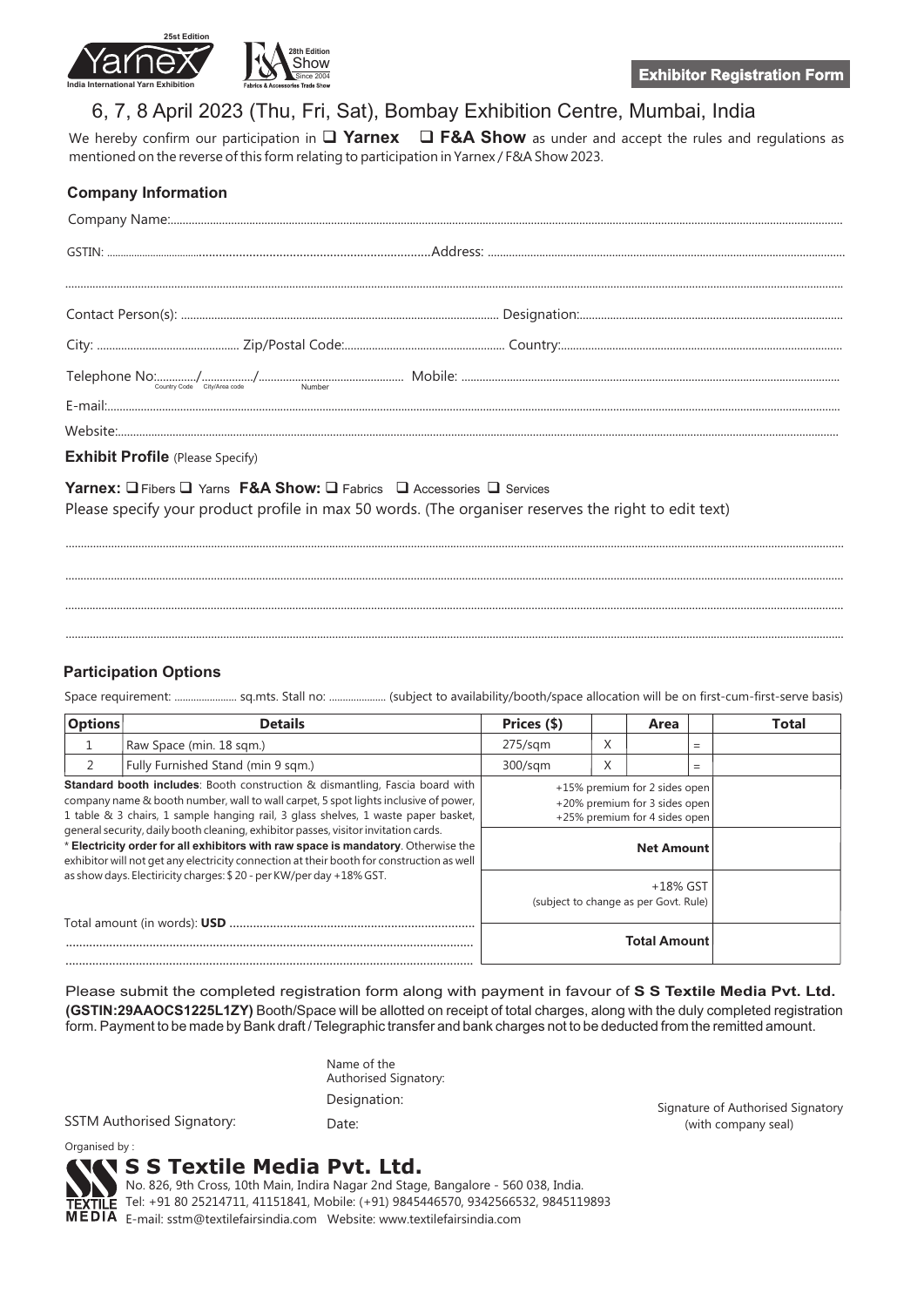

# 6, 7, 8 April 2023 (Thu, Fri, Sat), Bombay Exhibition Centre, Mumbai, India

We hereby confirm our participation in  $\Box$  Yarnex  $\Box$  F&A Show as under and accept the rules and regulations as mentioned on the reverse of this form relating to participation in Yarnex / F&A Show 2023.

| <b>Company Information</b>              |  |
|-----------------------------------------|--|
|                                         |  |
|                                         |  |
|                                         |  |
|                                         |  |
|                                         |  |
|                                         |  |
|                                         |  |
|                                         |  |
| <b>Exhibit Profile</b> (Please Specify) |  |

**Yarnex:**  $\square$  Fibers  $\square$  Yarns **F&A Show:**  $\square$  Fabrics  $\;\square$  Accessories  $\square$  Services Please specify your product profile in max 50 words. (The organiser reserves the right to edit text)

## **Participation Options**

Space requirement: ....................... sq.mts. Stall no: ..................... (subject to availability/booth/space allocation will be on first-cum-first-serve basis)

.................................................................................................................................................................................................................................................................

................................................................................................................................................................................................................................................................. ................................................................................................................................................................................................................................................................. .................................................................................................................................................................................................................................................................

| <b>Options</b>                                                                                                                                                                                                                                                                                                                                                                                                                                                                                                                           | <b>Details</b>                                                      | Prices (\$)                                                                                     |   | Area |     | Total |
|------------------------------------------------------------------------------------------------------------------------------------------------------------------------------------------------------------------------------------------------------------------------------------------------------------------------------------------------------------------------------------------------------------------------------------------------------------------------------------------------------------------------------------------|---------------------------------------------------------------------|-------------------------------------------------------------------------------------------------|---|------|-----|-------|
|                                                                                                                                                                                                                                                                                                                                                                                                                                                                                                                                          | Raw Space (min. 18 sqm.)                                            | $275$ /sqm                                                                                      | X |      | $=$ |       |
|                                                                                                                                                                                                                                                                                                                                                                                                                                                                                                                                          | Fully Furnished Stand (min 9 sqm.)                                  | 300/sgm                                                                                         | X |      | $=$ |       |
| <b>Standard booth includes:</b> Booth construction & dismantling, Fascia board with<br>company name & booth number, wall to wall carpet, 5 spot lights inclusive of power,<br>1 table & 3 chairs, 1 sample hanging rail, 3 glass shelves, 1 waste paper basket,<br>general security, daily booth cleaning, exhibitor passes, visitor invitation cards.<br>* Electricity order for all exhibitors with raw space is mandatory. Otherwise the<br>exhibitor will not get any electricity connection at their booth for construction as well |                                                                     | +15% premium for 2 sides open<br>+20% premium for 3 sides open<br>+25% premium for 4 sides open |   |      |     |       |
|                                                                                                                                                                                                                                                                                                                                                                                                                                                                                                                                          |                                                                     | <b>Net Amount</b>                                                                               |   |      |     |       |
|                                                                                                                                                                                                                                                                                                                                                                                                                                                                                                                                          | as show days. Electiricity charges: \$20 - per KW/per day +18% GST. | +18% GST<br>(subject to change as per Govt. Rule)                                               |   |      |     |       |
|                                                                                                                                                                                                                                                                                                                                                                                                                                                                                                                                          |                                                                     | <b>Total Amount</b>                                                                             |   |      |     |       |

**(GSTIN:29AAOCS1225L1ZY)**  Booth/Space will be allotted on receipt of total charges, along with the duly completed registration form. Payment to be made by Bank draft / Telegraphic transfer and bank charges not to be deducted from the remitted amount. Please submit the completed registration form along with payment in favour of **S S Textile Media Pvt. Ltd.**

| Name of the<br>Authorised Signatory: |  |
|--------------------------------------|--|
| Designation:                         |  |
| ---                                  |  |

SSTM Authorised Signatory: Date: (with company seal)

Signature of Authorised Signatory

Organised by :

## **S S Textile Media Pvt. Ltd.**

No. 826, 9th Cross, 10th Main, Indira Nagar 2nd Stage, Bangalore - 560 038, India. TEXTILE Tel: +91 80 25214711, 41151841, Mobile: (+91) 9845446570, 9342566532, 9845119893 MEDIA E-mail: sstm@textilefairsindia.com Website: www.textilefairsindia.com